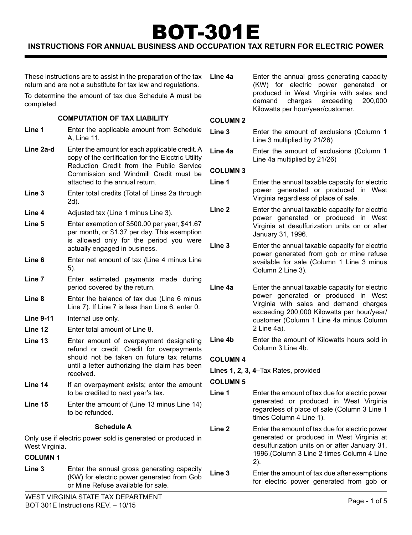# BOT-301E

# **Instructions For Annual Business and Occupation Tax Return for Electric Power**

These instructions are to assist in the preparation of the tax return and are not a substitute for tax law and regulations.

To determine the amount of tax due Schedule A must be completed.

#### **COMPUTATION OF TAX LIABILITY**

- **Line 1** Enter the applicable amount from Schedule A, Line 11.
- Line 2a-d Enter the amount for each applicable credit. A copy of the certification for the Electric Utility Reduction Credit from the Public Service Commission and Windmill Credit must be attached to the annual return.
- **Line 3** Enter total credits (Total of Lines 2a through 2d).
- **Line 4** Adjusted tax (Line 1 minus Line 3).
- **Line 5** Enter exemption of \$500.00 per year, \$41.67 per month, or \$1.37 per day. This exemption is allowed only for the period you were actually engaged in business.
- Line 6 Enter net amount of tax (Line 4 minus Line 5).
- **Line 7** Enter estimated payments made during period covered by the return.
- **Line 8** Enter the balance of tax due (Line 6 minus Line 7). If Line 7 is less than Line 6, enter 0.
- **Line 9-11** Internal use only.
- **Line 12** Enter total amount of Line 8.
- **Line 13** Enter amount of overpayment designating refund or credit. Credit for overpayments should not be taken on future tax returns until a letter authorizing the claim has been received.
- **Line 14** If an overpayment exists; enter the amount to be credited to next year's tax.
- **Line 15** Enter the amount of (Line 13 minus Line 14) to be refunded.

#### **Schedule A**

Only use if electric power sold is generated or produced in West Virginia.

#### **Column 1**

**Line 3** Enter the annual gross generating capacity (KW) for electric power generated from Gob or Mine Refuse available for sale.

**Line 4a** Enter the annual gross generating capacity (KW) for electric power generated or produced in West Virginia with sales and demand charges exceeding 200,000 Kilowatts per hour/year/customer.

#### **Column 2**

- **Line 3** Enter the amount of exclusions (Column 1 Line 3 multiplied by 21/26)
- **Line 4a** Enter the amount of exclusions (Column 1 Line 4a multiplied by 21/26)

#### **Column 3**

- **Line 1** Enter the annual taxable capacity for electric power generated or produced in West Virginia regardless of place of sale.
- **Line 2** Enter the annual taxable capacity for electric power generated or produced in West Virginia at desulfurization units on or after January 31, 1996.

**Line 3** Enter the annual taxable capacity for electric power generated from gob or mine refuse available for sale (Column 1 Line 3 minus Column 2 Line 3).

- **Line 4a** Enter the annual taxable capacity for electric power generated or produced in West Virginia with sales and demand charges exceeding 200,000 Kilowatts per hour/year/ customer (Column 1 Line 4a minus Column 2 Line 4a).
- **Line 4b** Enter the amount of Kilowatts hours sold in Column 3 Line 4b.

#### **Column 4**

**Lines 1, 2, 3, 4**–Tax Rates, provided

#### **Column 5**

**Line 1** Enter the amount of tax due for electric power generated or produced in West Virginia regardless of place of sale (Column 3 Line 1 times Column 4 Line 1).

**Line 2** Enter the amount of tax due for electric power generated or produced in West Virginia at desulfurization units on or after January 31, 1996.(Column 3 Line 2 times Column 4 Line 2).

**Line 3** Enter the amount of tax due after exemptions for electric power generated from gob or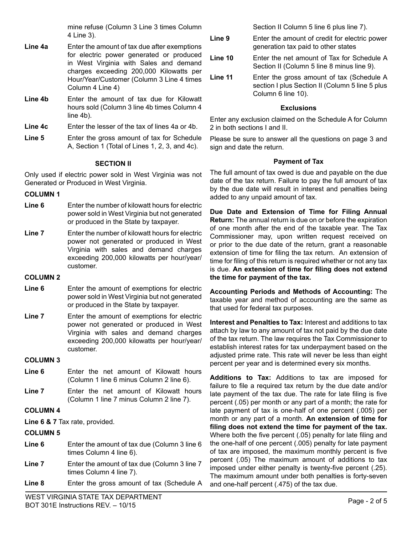mine refuse (Column 3 Line 3 times Column 4 Line 3).

- **Line 4a** Enter the amount of tax due after exemptions for electric power generated or produced in West Virginia with Sales and demand charges exceeding 200,000 Kilowatts per Hour/Year/Customer (Column 3 Line 4 times Column 4 Line 4)
- **Line 4b** Enter the amount of tax due for Kilowatt hours sold (Column 3 line 4b times Column 4 line 4b).
- **Line 4c** Enter the lesser of the tax of lines 4a or 4b.
- **Line 5** Enter the gross amount of tax for Schedule A, Section 1 (Total of Lines 1, 2, 3, and 4c).

## **SECTION II**

Only used if electric power sold in West Virginia was not Generated or Produced in West Virginia.

## **Column 1**

- **Line 6** Enter the number of kilowatt hours for electric power sold in West Virginia but not generated or produced in the State by taxpayer.
- **Line 7** Enter the number of kilowatt hours for electric power not generated or produced in West Virginia with sales and demand charges exceeding 200,000 kilowatts per hour/year/ customer.

## **Column 2**

- **Line 6** Enter the amount of exemptions for electric power sold in West Virginia but not generated or produced in the State by taxpayer.
- **Line 7** Enter the amount of exemptions for electric power not generated or produced in West Virginia with sales and demand charges exceeding 200,000 kilowatts per hour/year/ customer.

## **Column 3**

- Line 6 Enter the net amount of Kilowatt hours (Column 1 line 6 minus Column 2 line 6).
- **Line 7** Enter the net amount of Kilowatt hours (Column 1 line 7 minus Column 2 line 7).

## **Column 4**

**Line 6 & 7** Tax rate, provided.

## **Column 5**

- **Line 6** Enter the amount of tax due (Column 3 line 6 times Column 4 line 6).
- **Line 7** Enter the amount of tax due (Column 3 line 7 times Column 4 line 7).
- **Line 8** Enter the gross amount of tax (Schedule A

Section II Column 5 line 6 plus line 7).

- **Line 9** Enter the amount of credit for electric power generation tax paid to other states
- **Line 10** Enter the net amount of Tax for Schedule A Section II (Column 5 line 8 minus line 9).
- **Line 11** Enter the gross amount of tax (Schedule A section I plus Section II (Column 5 line 5 plus Column 6 line 10).

## **Exclusions**

Enter any exclusion claimed on the Schedule A for Column 2 in both sections I and II.

Please be sure to answer all the questions on page 3 and sign and date the return.

## **Payment of Tax**

The full amount of tax owed is due and payable on the due date of the tax return. Failure to pay the full amount of tax by the due date will result in interest and penalties being added to any unpaid amount of tax.

**Due Date and Extension of Time for Filing Annual Return:** The annual return is due on or before the expiration of one month after the end of the taxable year. The Tax Commissioner may, upon written request received on or prior to the due date of the return, grant a reasonable extension of time for filing the tax return. An extension of time for filing of this return is required whether or not any tax is due. **An extension of time for filing does not extend the time for payment of the tax.**

**Accounting Periods and Methods of Accounting:** The taxable year and method of accounting are the same as that used for federal tax purposes.

**Interest and Penalties to Tax:** Interest and additions to tax attach by law to any amount of tax not paid by the due date of the tax return. The law requires the Tax Commissioner to establish interest rates for tax underpayment based on the adjusted prime rate. This rate will never be less than eight percent per year and is determined every six months.

**Additions to Tax:** Additions to tax are imposed for failure to file a required tax return by the due date and/or late payment of the tax due. The rate for late filing is five percent (.05) per month or any part of a month; the rate for late payment of tax is one-half of one percent (.005) per month or any part of a month. **An extension of time for filing does not extend the time for payment of the tax.**  Where both the five percent (.05) penalty for late filing and the one-half of one percent (.005) penalty for late payment of tax are imposed, the maximum monthly percent is five percent (.05) The maximum amount of additions to tax imposed under either penalty is twenty-five percent (.25). The maximum amount under both penalties is forty-seven and one-half percent (.475) of the tax due.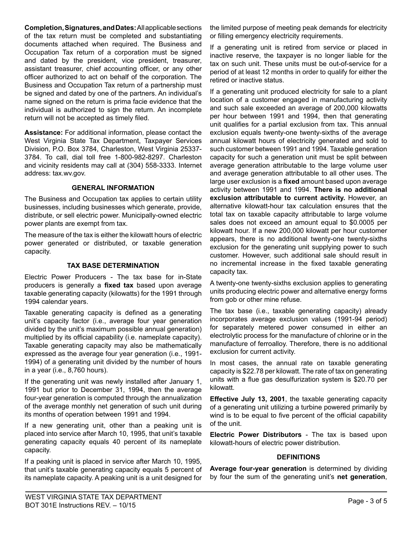**Completion, Signatures, and Dates:** All applicable sections of the tax return must be completed and substantiating documents attached when required. The Business and Occupation Tax return of a corporation must be signed and dated by the president, vice president, treasurer, assistant treasurer, chief accounting officer, or any other officer authorized to act on behalf of the corporation. The Business and Occupation Tax return of a partnership must be signed and dated by one of the partners. An individual's name signed on the return is prima facie evidence that the individual is authorized to sign the return. An incomplete return will not be accepted as timely filed.

**Assistance:** For additional information, please contact the West Virginia State Tax Department, Taxpayer Services Division, P.O. Box 3784, Charleston, West Virginia 25337- 3784. To call, dial toll free 1-800-982-8297. Charleston and vicinity residents may call at (304) 558-3333. Internet address: tax.wv.gov.

#### **GENERAL INFORMATION**

The Business and Occupation tax applies to certain utility businesses, including businesses which generate, provide, distribute, or sell electric power. Municipally-owned electric power plants are exempt from tax.

The measure of the tax is either the kilowatt hours of electric power generated or distributed, or taxable generation capacity.

## **TAX BASE DETERMINATION**

Electric Power Producers - The tax base for in-State producers is generally a **fixed tax** based upon average taxable generating capacity (kilowatts) for the 1991 through 1994 calendar years.

Taxable generating capacity is defined as a generating unit's capacity factor (i.e., average four year generation divided by the unit's maximum possible annual generation) multiplied by its official capability (i.e. nameplate capacity). Taxable generating capacity may also be mathematically expressed as the average four year generation (i.e., 1991- 1994) of a generating unit divided by the number of hours in a year (i.e., 8,760 hours).

If the generating unit was newly installed after January 1, 1991 but prior to December 31, 1994, then the average four-year generation is computed through the annualization of the average monthly net generation of such unit during its months of operation between 1991 and 1994.

If a new generating unit, other than a peaking unit is placed into service after March 10, 1995, that unit's taxable generating capacity equals 40 percent of its nameplate capacity.

If a peaking unit is placed in service after March 10, 1995, that unit's taxable generating capacity equals 5 percent of its nameplate capacity. A peaking unit is a unit designed for the limited purpose of meeting peak demands for electricity or filling emergency electricity requirements.

If a generating unit is retired from service or placed in inactive reserve, the taxpayer is no longer liable for the tax on such unit. These units must be out-of-service for a period of at least 12 months in order to qualify for either the retired or inactive status.

If a generating unit produced electricity for sale to a plant location of a customer engaged in manufacturing activity and such sale exceeded an average of 200,000 kilowatts per hour between 1991 and 1994, then that generating unit qualifies for a partial exclusion from tax. This annual exclusion equals twenty-one twenty-sixths of the average annual kilowatt hours of electricity generated and sold to such customer between 1991 and 1994. Taxable generation capacity for such a generation unit must be split between average generation attributable to the large volume user and average generation attributable to all other uses. The large user exclusion is a **fixed** amount based upon average activity between 1991 and 1994. **There is no additional exclusion attributable to current activity.** However, an alternative kilowatt-hour tax calculation ensures that the total tax on taxable capacity attributable to large volume sales does not exceed an amount equal to \$0.0005 per kilowatt hour. If a new 200,000 kilowatt per hour customer appears, there is no additional twenty-one twenty-sixths exclusion for the generating unit supplying power to such customer. However, such additional sale should result in no incremental increase in the fixed taxable generating capacity tax.

A twenty-one twenty-sixths exclusion applies to generating units producing electric power and alternative energy forms from gob or other mine refuse.

The tax base (i.e., taxable generating capacity) already incorporates average exclusion values (1991-94 period) for separately metered power consumed in either an electrolytic process for the manufacture of chlorine or in the manufacture of ferroalloy. Therefore, there is no additional exclusion for current activity.

In most cases, the annual rate on taxable generating capacity is \$22.78 per kilowatt. The rate of tax on generating units with a flue gas desulfurization system is \$20.70 per kilowatt.

**Effective July 13, 2001**, the taxable generating capacity of a generating unit utilizing a turbine powered primarily by wind is to be equal to five percent of the official capability of the unit.

**Electric Power Distributors** - The tax is based upon kilowatt-hours of electric power distribution.

## **DEFINITIONS**

**Average four-year generation** is determined by dividing by four the sum of the generating unit's **net generation**,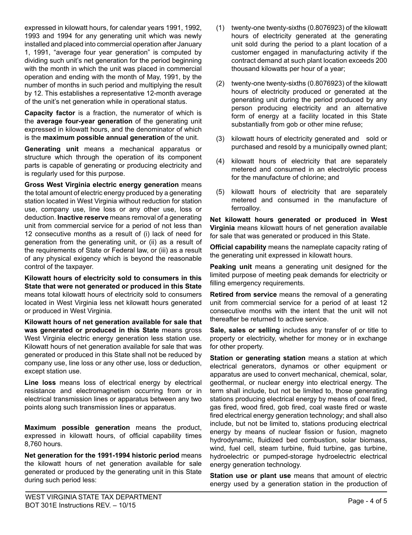expressed in kilowatt hours, for calendar years 1991, 1992, 1993 and 1994 for any generating unit which was newly installed and placed into commercial operation after January 1, 1991, "average four year generation" is computed by dividing such unit's net generation for the period beginning with the month in which the unit was placed in commercial operation and ending with the month of May, 1991, by the number of months in such period and multiplying the result by 12. This establishes a representative 12-month average of the unit's net generation while in operational status.

**Capacity factor** is a fraction, the numerator of which is the **average four-year generation** of the generating unit expressed in kilowatt hours, and the denominator of which is the **maximum possible annual generation** of the unit.

**Generating unit** means a mechanical apparatus or structure which through the operation of its component parts is capable of generating or producing electricity and is regularly used for this purpose.

**Gross West Virginia electric energy generation** means the total amount of electric energy produced by a generating station located in West Virginia without reduction for station use, company use, line loss or any other use, loss or deduction. **Inactive reserve** means removal of a generating unit from commercial service for a period of not less than 12 consecutive months as a result of (i) lack of need for generation from the generating unit, or (ii) as a result of the requirements of State or Federal law, or (iii) as a result of any physical exigency which is beyond the reasonable control of the taxpayer.

**Kilowatt hours of electricity sold to consumers in this State that were not generated or produced in this State** means total kilowatt hours of electricity sold to consumers located in West Virginia less net kilowatt hours generated or produced in West Virginia.

**Kilowatt hours of net generation available for sale that was generated or produced in this State** means gross West Virginia electric energy generation less station use. Kilowatt hours of net generation available for sale that was generated or produced in this State shall not be reduced by company use, line loss or any other use, loss or deduction, except station use.

**Line loss** means loss of electrical energy by electrical resistance and electromagnetism occurring from or in electrical transmission lines or apparatus between any two points along such transmission lines or apparatus.

**Maximum possible generation** means the product, expressed in kilowatt hours, of official capability times 8,760 hours.

**Net generation for the 1991-1994 historic period** means the kilowatt hours of net generation available for sale generated or produced by the generating unit in this State during such period less:

- (1) twenty-one twenty-sixths (0.8076923) of the kilowatt hours of electricity generated at the generating unit sold during the period to a plant location of a customer engaged in manufacturing activity if the contract demand at such plant location exceeds 200 thousand kilowatts per hour of a year;
- (2) twenty-one twenty-sixths (0.8076923) of the kilowatt hours of electricity produced or generated at the generating unit during the period produced by any person producing electricity and an alternative form of energy at a facility located in this State substantially from gob or other mine refuse;
- (3) kilowatt hours of electricity generated and sold or purchased and resold by a municipally owned plant;
- (4) kilowatt hours of electricity that are separately metered and consumed in an electrolytic process for the manufacture of chlorine; and
- (5) kilowatt hours of electricity that are separately metered and consumed in the manufacture of ferroalloy.

**Net kilowatt hours generated or produced in West Virginia** means kilowatt hours of net generation available for sale that was generated or produced in this State.

**Official capability** means the nameplate capacity rating of the generating unit expressed in kilowatt hours.

**Peaking unit** means a generating unit designed for the limited purpose of meeting peak demands for electricity or filling emergency requirements.

**Retired from service** means the removal of a generating unit from commercial service for a period of at least 12 consecutive months with the intent that the unit will not thereafter be returned to active service.

**Sale, sales or selling** includes any transfer of or title to property or electricity, whether for money or in exchange for other property.

**Station or generating station** means a station at which electrical generators, dynamos or other equipment or apparatus are used to convert mechanical, chemical, solar, geothermal, or nuclear energy into electrical energy. The term shall include, but not be limited to, those generating stations producing electrical energy by means of coal fired, gas fired, wood fired, gob fired, coal waste fired or waste fired electrical energy generation technology; and shall also include, but not be limited to, stations producing electrical energy by means of nuclear fission or fusion, magneto hydrodynamic, fluidized bed combustion, solar biomass, wind, fuel cell, steam turbine, fluid turbine, gas turbine, hydroelectric or pumped-storage hydroelectric electrical energy generation technology.

**Station use or plant use** means that amount of electric energy used by a generation station in the production of